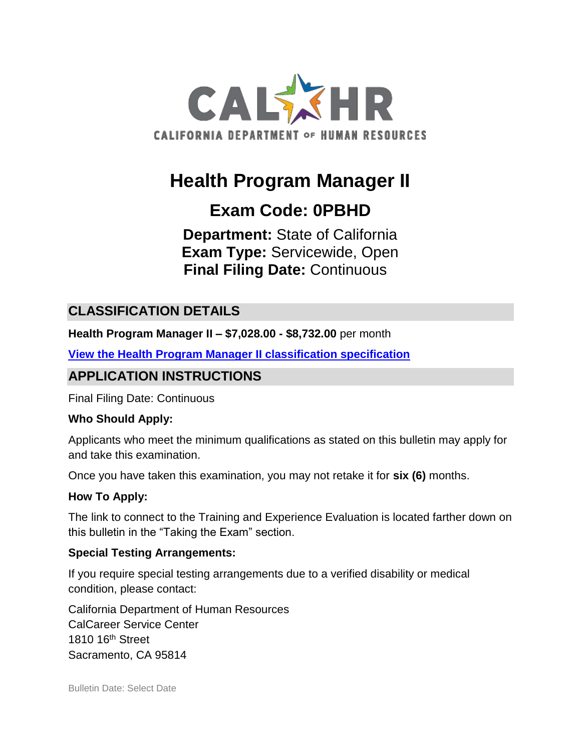

# **Health Program Manager II**

# **Exam Code: 0PBHD**

**Department:** State of California **Exam Type:** Servicewide, Open **Final Filing Date:** Continuous

## **CLASSIFICATION DETAILS**

**Health Program Manager II – \$7,028.00 - \$8,732.00** per month

**[View the Health Program Manager II](https://www.calhr.ca.gov/state-hr-professionals/pages/8337.aspx) classification specification**

# **APPLICATION INSTRUCTIONS**

Final Filing Date: Continuous

#### **Who Should Apply:**

Applicants who meet the minimum qualifications as stated on this bulletin may apply for and take this examination.

Once you have taken this examination, you may not retake it for **six (6)** months.

#### **How To Apply:**

The link to connect to the Training and Experience Evaluation is located farther down on this bulletin in the "Taking the Exam" section.

#### **Special Testing Arrangements:**

If you require special testing arrangements due to a verified disability or medical condition, please contact:

California Department of Human Resources CalCareer Service Center 1810 16<sup>th</sup> Street Sacramento, CA 95814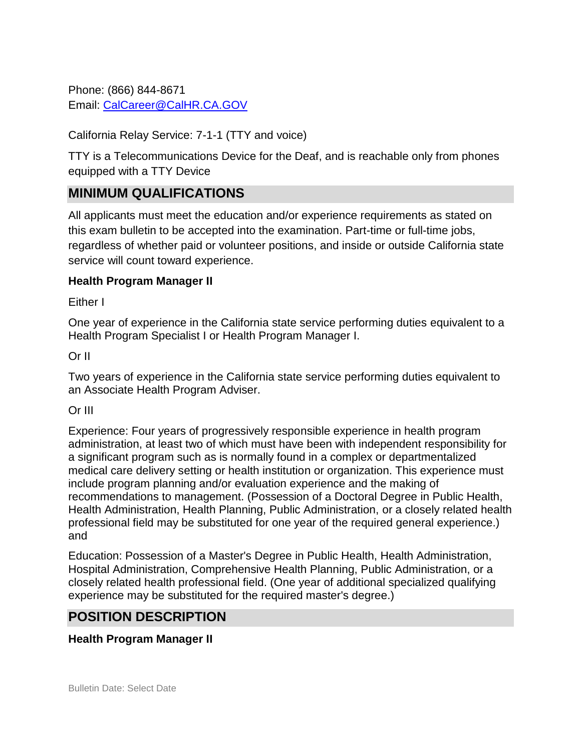Phone: (866) 844-8671 Email: [CalCareer@CalHR.CA.GOV](mailto:CalCareer@CalHR.CA.GOV)

California Relay Service: 7-1-1 (TTY and voice)

TTY is a Telecommunications Device for the Deaf, and is reachable only from phones equipped with a TTY Device

## **MINIMUM QUALIFICATIONS**

All applicants must meet the education and/or experience requirements as stated on this exam bulletin to be accepted into the examination. Part-time or full-time jobs, regardless of whether paid or volunteer positions, and inside or outside California state service will count toward experience.

### **Health Program Manager II**

Either I

One year of experience in the California state service performing duties equivalent to a Health Program Specialist I or Health Program Manager I.

### Or II

Two years of experience in the California state service performing duties equivalent to an Associate Health Program Adviser.

#### Or III

Experience: Four years of progressively responsible experience in health program administration, at least two of which must have been with independent responsibility for a significant program such as is normally found in a complex or departmentalized medical care delivery setting or health institution or organization. This experience must include program planning and/or evaluation experience and the making of recommendations to management. (Possession of a Doctoral Degree in Public Health, Health Administration, Health Planning, Public Administration, or a closely related health professional field may be substituted for one year of the required general experience.) and

Education: Possession of a Master's Degree in Public Health, Health Administration, Hospital Administration, Comprehensive Health Planning, Public Administration, or a closely related health professional field. (One year of additional specialized qualifying experience may be substituted for the required master's degree.)

### **POSITION DESCRIPTION**

### **Health Program Manager II**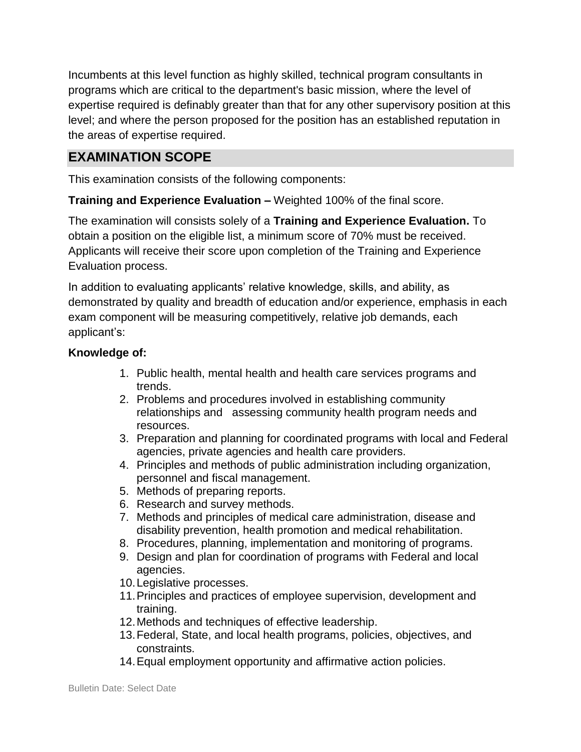Incumbents at this level function as highly skilled, technical program consultants in programs which are critical to the department's basic mission, where the level of expertise required is definably greater than that for any other supervisory position at this level; and where the person proposed for the position has an established reputation in the areas of expertise required.

# **EXAMINATION SCOPE**

This examination consists of the following components:

**Training and Experience Evaluation –** Weighted 100% of the final score.

The examination will consists solely of a **Training and Experience Evaluation.** To obtain a position on the eligible list, a minimum score of 70% must be received. Applicants will receive their score upon completion of the Training and Experience Evaluation process.

In addition to evaluating applicants' relative knowledge, skills, and ability, as demonstrated by quality and breadth of education and/or experience, emphasis in each exam component will be measuring competitively, relative job demands, each applicant's:

### **Knowledge of:**

- 1. Public health, mental health and health care services programs and trends.
- 2. Problems and procedures involved in establishing community relationships and assessing community health program needs and resources.
- 3. Preparation and planning for coordinated programs with local and Federal agencies, private agencies and health care providers.
- 4. Principles and methods of public administration including organization, personnel and fiscal management.
- 5. Methods of preparing reports.
- 6. Research and survey methods.
- 7. Methods and principles of medical care administration, disease and disability prevention, health promotion and medical rehabilitation.
- 8. Procedures, planning, implementation and monitoring of programs.
- 9. Design and plan for coordination of programs with Federal and local agencies.
- 10.Legislative processes.
- 11.Principles and practices of employee supervision, development and training.
- 12.Methods and techniques of effective leadership.
- 13.Federal, State, and local health programs, policies, objectives, and constraints.
- 14.Equal employment opportunity and affirmative action policies.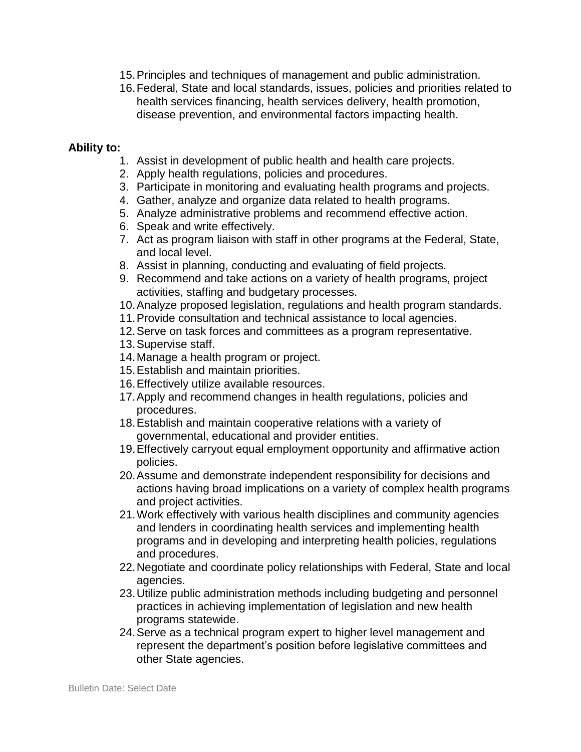- 15.Principles and techniques of management and public administration.
- 16.Federal, State and local standards, issues, policies and priorities related to health services financing, health services delivery, health promotion, disease prevention, and environmental factors impacting health.

#### **Ability to:**

- 1. Assist in development of public health and health care projects.
- 2. Apply health regulations, policies and procedures.
- 3. Participate in monitoring and evaluating health programs and projects.
- 4. Gather, analyze and organize data related to health programs.
- 5. Analyze administrative problems and recommend effective action.
- 6. Speak and write effectively.
- 7. Act as program liaison with staff in other programs at the Federal, State, and local level.
- 8. Assist in planning, conducting and evaluating of field projects.
- 9. Recommend and take actions on a variety of health programs, project activities, staffing and budgetary processes.
- 10.Analyze proposed legislation, regulations and health program standards.
- 11.Provide consultation and technical assistance to local agencies.
- 12.Serve on task forces and committees as a program representative.
- 13.Supervise staff.
- 14.Manage a health program or project.
- 15.Establish and maintain priorities.
- 16.Effectively utilize available resources.
- 17.Apply and recommend changes in health regulations, policies and procedures.
- 18.Establish and maintain cooperative relations with a variety of governmental, educational and provider entities.
- 19.Effectively carryout equal employment opportunity and affirmative action policies.
- 20.Assume and demonstrate independent responsibility for decisions and actions having broad implications on a variety of complex health programs and project activities.
- 21.Work effectively with various health disciplines and community agencies and lenders in coordinating health services and implementing health programs and in developing and interpreting health policies, regulations and procedures.
- 22.Negotiate and coordinate policy relationships with Federal, State and local agencies.
- 23.Utilize public administration methods including budgeting and personnel practices in achieving implementation of legislation and new health programs statewide.
- 24.Serve as a technical program expert to higher level management and represent the department's position before legislative committees and other State agencies.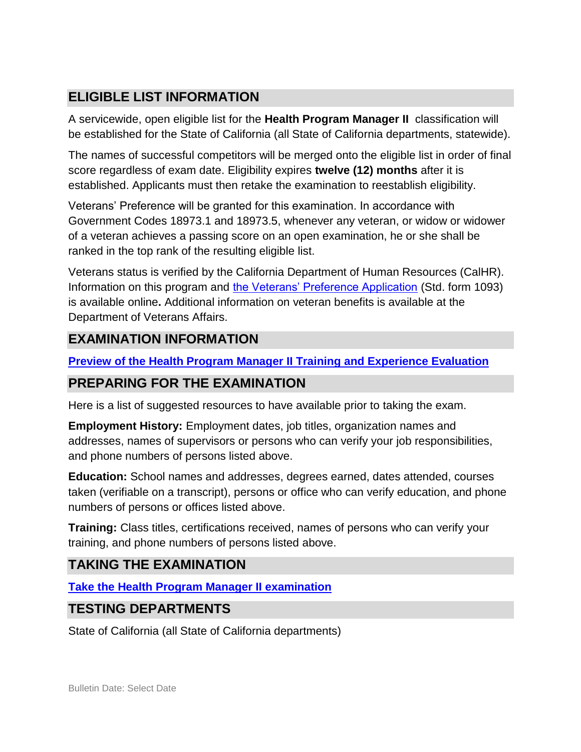# **ELIGIBLE LIST INFORMATION**

A servicewide, open eligible list for the **Health Program Manager II** classification will be established for the State of California (all State of California departments, statewide).

The names of successful competitors will be merged onto the eligible list in order of final score regardless of exam date. Eligibility expires **twelve (12) months** after it is established. Applicants must then retake the examination to reestablish eligibility.

Veterans' Preference will be granted for this examination. In accordance with Government Codes 18973.1 and 18973.5, whenever any veteran, or widow or widower of a veteran achieves a passing score on an open examination, he or she shall be ranked in the top rank of the resulting eligible list.

Veterans status is verified by the California Department of Human Resources (CalHR). Information on this program and [the Veterans' Preference Application](https://www.jobs.ca.gov/CalHRPublic/Landing/Jobs/VeteransInformation.aspx) (Std. form 1093) is available online**.** Additional information on veteran benefits is available at the Department of Veterans Affairs.

# **EXAMINATION INFORMATION**

**Preview of the Health Program Manager II [Training and Experience Evaluation](https://jobs.ca.gov/jobsgen/0PBHDa.pdf)**

# **PREPARING FOR THE EXAMINATION**

Here is a list of suggested resources to have available prior to taking the exam.

**Employment History:** Employment dates, job titles, organization names and addresses, names of supervisors or persons who can verify your job responsibilities, and phone numbers of persons listed above.

**Education:** School names and addresses, degrees earned, dates attended, courses taken (verifiable on a transcript), persons or office who can verify education, and phone numbers of persons or offices listed above.

**Training:** Class titles, certifications received, names of persons who can verify your training, and phone numbers of persons listed above.

# **TAKING THE EXAMINATION**

**Take the [Health Program Manager II](https://www.jobs.ca.gov/CalHRPublic/Login.aspx?ExamId=0PBHD) examination**

# **TESTING DEPARTMENTS**

State of California (all State of California departments)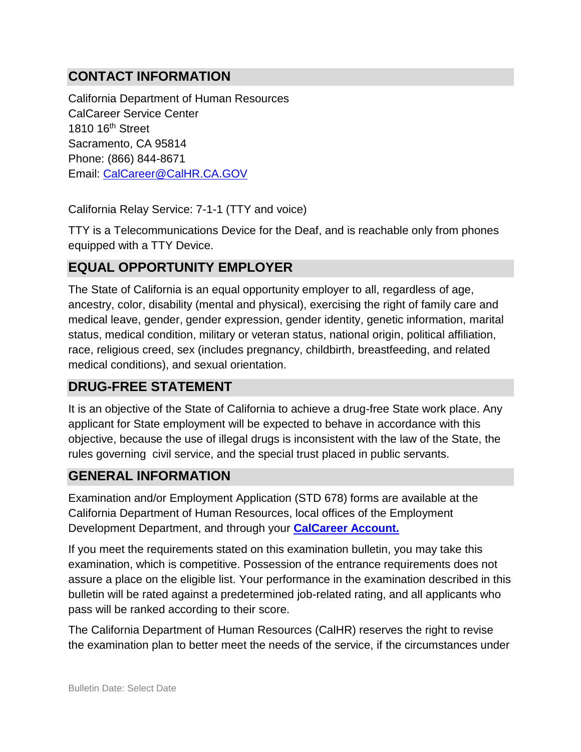# **CONTACT INFORMATION**

California Department of Human Resources CalCareer Service Center 1810 16th Street Sacramento, CA 95814 Phone: (866) 844-8671 Email: [CalCareer@CalHR.CA.GOV](mailto:CalCareer@CalHR.CA.GOV)

California Relay Service: 7-1-1 (TTY and voice)

TTY is a Telecommunications Device for the Deaf, and is reachable only from phones equipped with a TTY Device.

## **EQUAL OPPORTUNITY EMPLOYER**

The State of California is an equal opportunity employer to all, regardless of age, ancestry, color, disability (mental and physical), exercising the right of family care and medical leave, gender, gender expression, gender identity, genetic information, marital status, medical condition, military or veteran status, national origin, political affiliation, race, religious creed, sex (includes pregnancy, childbirth, breastfeeding, and related medical conditions), and sexual orientation.

### **DRUG-FREE STATEMENT**

It is an objective of the State of California to achieve a drug-free State work place. Any applicant for State employment will be expected to behave in accordance with this objective, because the use of illegal drugs is inconsistent with the law of the State, the rules governing civil service, and the special trust placed in public servants.

### **GENERAL INFORMATION**

Examination and/or Employment Application (STD 678) forms are available at the California Department of Human Resources, local offices of the Employment Development Department, and through your **[CalCareer Account.](http://www.jobs.ca.gov/)**

If you meet the requirements stated on this examination bulletin, you may take this examination, which is competitive. Possession of the entrance requirements does not assure a place on the eligible list. Your performance in the examination described in this bulletin will be rated against a predetermined job-related rating, and all applicants who pass will be ranked according to their score.

The California Department of Human Resources (CalHR) reserves the right to revise the examination plan to better meet the needs of the service, if the circumstances under